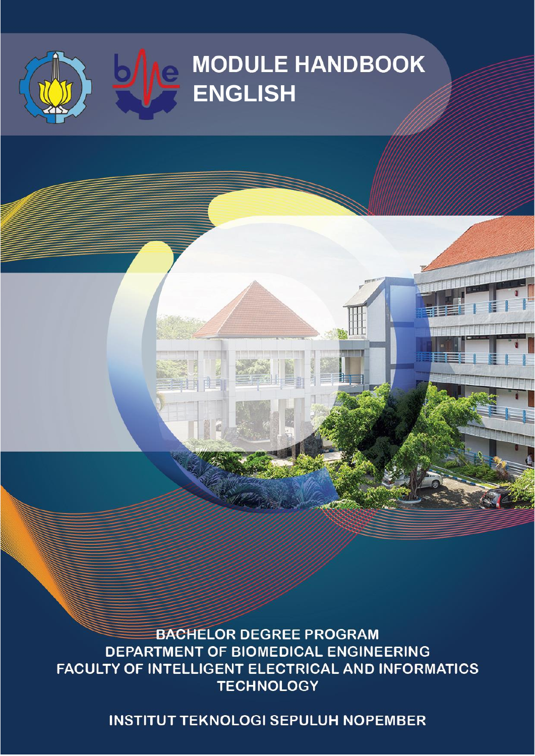

博言

**BACHELOR DEGREE PROGRAM** DEPARTMENT OF BIOMEDICAL ENGINEERING FACULTY OF INTELLIGENT ELECTRICAL AND INFORMATICS **TECHNOLOGY** 

**INSTITUT TEKNOLOGI SEPULUH NOPEMBER**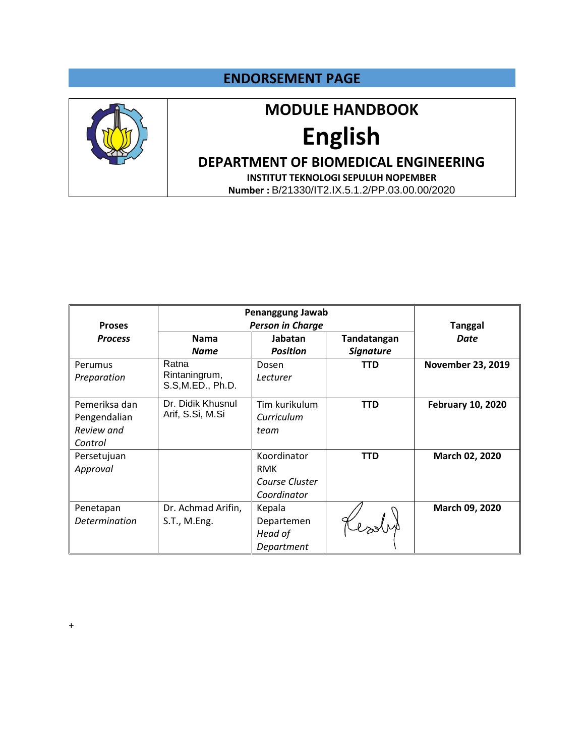#### **ENDORSEMENT PAGE**



## **MODULE HANDBOOK**

# **English**

### **DEPARTMENT OF BIOMEDICAL ENGINEERING**

**INSTITUT TEKNOLOGI SEPULUH NOPEMBER Number :** B/21330/IT2.IX.5.1.2/PP.03.00.00/2020

|                | Penanggung Jawab   |                         |                  |                          |
|----------------|--------------------|-------------------------|------------------|--------------------------|
| <b>Proses</b>  |                    | <b>Person in Charge</b> |                  | <b>Tanggal</b>           |
| <b>Process</b> | <b>Nama</b>        | Jabatan                 | Tandatangan      | Date                     |
|                | <b>Name</b>        | <b>Position</b>         | <b>Signature</b> |                          |
| Perumus        | Ratna              | Dosen                   | <b>TTD</b>       | <b>November 23, 2019</b> |
| Preparation    | Rintaningrum,      | Lecturer                |                  |                          |
|                | S.S, M.ED., Ph.D.  |                         |                  |                          |
| Pemeriksa dan  | Dr. Didik Khusnul  | Tim kurikulum           | <b>TTD</b>       | <b>February 10, 2020</b> |
| Pengendalian   | Arif, S.Si, M.Si   | Curriculum              |                  |                          |
| Review and     |                    | team                    |                  |                          |
| Control        |                    |                         |                  |                          |
| Persetujuan    |                    | Koordinator             | <b>TTD</b>       | March 02, 2020           |
| Approval       |                    | <b>RMK</b>              |                  |                          |
|                |                    | Course Cluster          |                  |                          |
|                |                    | Coordinator             |                  |                          |
| Penetapan      | Dr. Achmad Arifin, | Kepala                  |                  | March 09, 2020           |
| Determination  | S.T., M.Eng.       | Departemen              |                  |                          |
|                |                    | Head of                 |                  |                          |
|                |                    | Department              |                  |                          |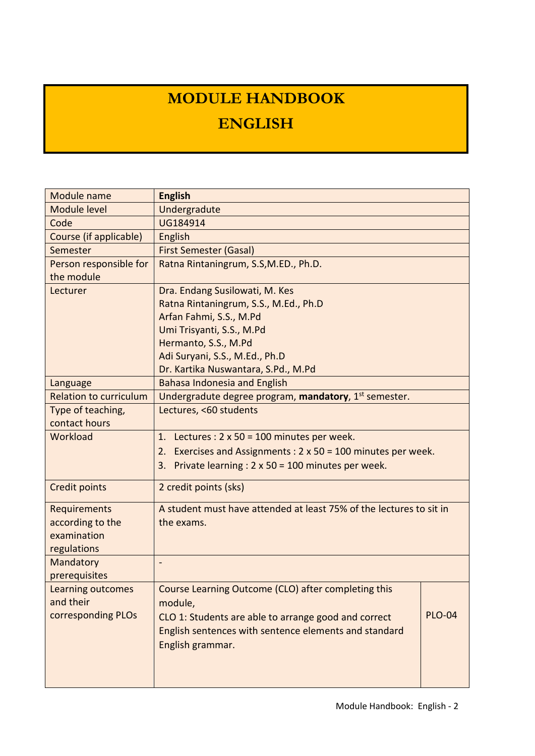# **MODULE HANDBOOK ENGLISH**

| Module name                   | <b>English</b>                                                          |  |  |  |  |  |
|-------------------------------|-------------------------------------------------------------------------|--|--|--|--|--|
| Module level                  | Undergradute                                                            |  |  |  |  |  |
| Code                          | UG184914                                                                |  |  |  |  |  |
| Course (if applicable)        | English                                                                 |  |  |  |  |  |
| Semester                      | <b>First Semester (Gasal)</b>                                           |  |  |  |  |  |
| Person responsible for        | Ratna Rintaningrum, S.S, M.ED., Ph.D.                                   |  |  |  |  |  |
| the module                    |                                                                         |  |  |  |  |  |
| Lecturer                      | Dra. Endang Susilowati, M. Kes                                          |  |  |  |  |  |
|                               | Ratna Rintaningrum, S.S., M.Ed., Ph.D                                   |  |  |  |  |  |
|                               | Arfan Fahmi, S.S., M.Pd                                                 |  |  |  |  |  |
|                               | Umi Trisyanti, S.S., M.Pd                                               |  |  |  |  |  |
|                               | Hermanto, S.S., M.Pd                                                    |  |  |  |  |  |
|                               | Adi Suryani, S.S., M.Ed., Ph.D                                          |  |  |  |  |  |
|                               | Dr. Kartika Nuswantara, S.Pd., M.Pd                                     |  |  |  |  |  |
| Language                      | <b>Bahasa Indonesia and English</b>                                     |  |  |  |  |  |
| <b>Relation to curriculum</b> | Undergradute degree program, mandatory, 1st semester.                   |  |  |  |  |  |
| Type of teaching,             | Lectures, <60 students                                                  |  |  |  |  |  |
| contact hours                 |                                                                         |  |  |  |  |  |
| Workload                      | Lectures : $2 \times 50 = 100$ minutes per week.<br>1.                  |  |  |  |  |  |
|                               | Exercises and Assignments : $2 \times 50 = 100$ minutes per week.<br>2. |  |  |  |  |  |
|                               | Private learning : $2 \times 50 = 100$ minutes per week.<br>3.          |  |  |  |  |  |
| <b>Credit points</b>          | 2 credit points (sks)                                                   |  |  |  |  |  |
| Requirements                  | A student must have attended at least 75% of the lectures to sit in     |  |  |  |  |  |
| according to the              | the exams.                                                              |  |  |  |  |  |
| examination                   |                                                                         |  |  |  |  |  |
| regulations                   |                                                                         |  |  |  |  |  |
| Mandatory                     |                                                                         |  |  |  |  |  |
| prerequisites                 |                                                                         |  |  |  |  |  |
| Learning outcomes             | Course Learning Outcome (CLO) after completing this                     |  |  |  |  |  |
| and their                     | module,                                                                 |  |  |  |  |  |
| corresponding PLOs            | <b>PLO-04</b><br>CLO 1: Students are able to arrange good and correct   |  |  |  |  |  |
|                               | English sentences with sentence elements and standard                   |  |  |  |  |  |
|                               | English grammar.                                                        |  |  |  |  |  |
|                               |                                                                         |  |  |  |  |  |
|                               |                                                                         |  |  |  |  |  |
|                               |                                                                         |  |  |  |  |  |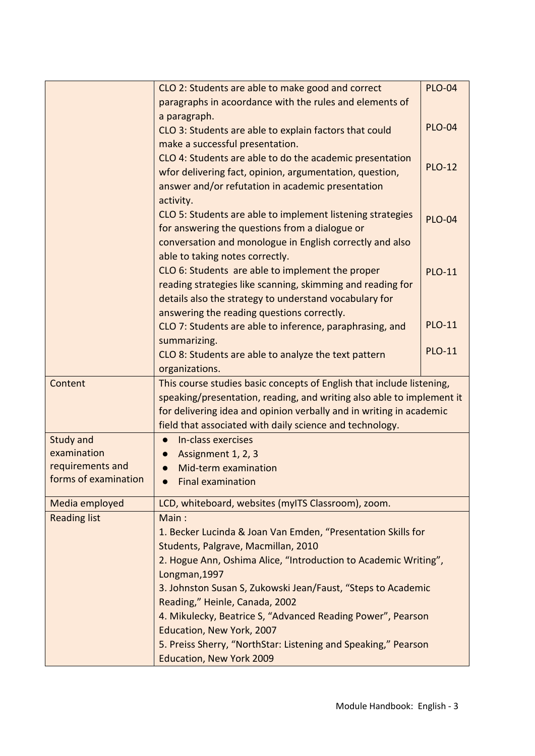|                      | CLO 2: Students are able to make good and correct                     | <b>PLO-04</b> |
|----------------------|-----------------------------------------------------------------------|---------------|
|                      | paragraphs in acoordance with the rules and elements of               |               |
|                      | a paragraph.                                                          |               |
|                      | CLO 3: Students are able to explain factors that could                | <b>PLO-04</b> |
|                      | make a successful presentation.                                       |               |
|                      | CLO 4: Students are able to do the academic presentation              | <b>PLO-12</b> |
|                      | wfor delivering fact, opinion, argumentation, question,               |               |
|                      | answer and/or refutation in academic presentation                     |               |
|                      | activity.                                                             |               |
|                      | CLO 5: Students are able to implement listening strategies            | <b>PLO-04</b> |
|                      | for answering the questions from a dialogue or                        |               |
|                      | conversation and monologue in English correctly and also              |               |
|                      | able to taking notes correctly.                                       |               |
|                      | CLO 6: Students are able to implement the proper                      | <b>PLO-11</b> |
|                      | reading strategies like scanning, skimming and reading for            |               |
|                      | details also the strategy to understand vocabulary for                |               |
|                      | answering the reading questions correctly.                            |               |
|                      | CLO 7: Students are able to inference, paraphrasing, and              | <b>PLO-11</b> |
|                      | summarizing.                                                          |               |
|                      | CLO 8: Students are able to analyze the text pattern                  | <b>PLO-11</b> |
|                      | organizations.                                                        |               |
| Content              | This course studies basic concepts of English that include listening, |               |
|                      | speaking/presentation, reading, and writing also able to implement it |               |
|                      | for delivering idea and opinion verbally and in writing in academic   |               |
|                      | field that associated with daily science and technology.              |               |
| <b>Study and</b>     | In-class exercises                                                    |               |
| examination          | Assignment 1, 2, 3                                                    |               |
| requirements and     | Mid-term examination                                                  |               |
| forms of examination | <b>Final examination</b>                                              |               |
|                      |                                                                       |               |
| Media employed       | LCD, whiteboard, websites (myITS Classroom), zoom.                    |               |
| <b>Reading list</b>  | Main:                                                                 |               |
|                      | 1. Becker Lucinda & Joan Van Emden, "Presentation Skills for          |               |
|                      | Students, Palgrave, Macmillan, 2010                                   |               |
|                      | 2. Hogue Ann, Oshima Alice, "Introduction to Academic Writing",       |               |
|                      | Longman, 1997                                                         |               |
|                      | 3. Johnston Susan S, Zukowski Jean/Faust, "Steps to Academic          |               |
|                      | Reading," Heinle, Canada, 2002                                        |               |
|                      | 4. Mikulecky, Beatrice S, "Advanced Reading Power", Pearson           |               |
|                      | Education, New York, 2007                                             |               |
|                      | 5. Preiss Sherry, "NorthStar: Listening and Speaking," Pearson        |               |
|                      | Education, New York 2009                                              |               |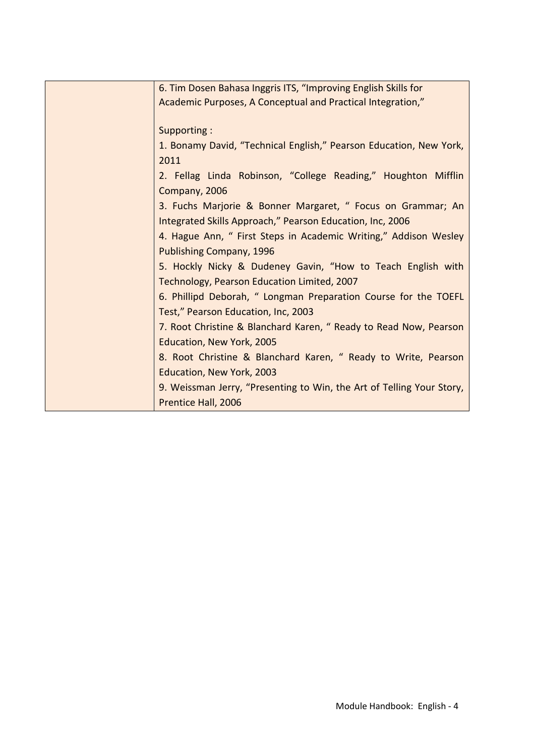| 6. Tim Dosen Bahasa Inggris ITS, "Improving English Skills for        |
|-----------------------------------------------------------------------|
| Academic Purposes, A Conceptual and Practical Integration,"           |
|                                                                       |
| Supporting:                                                           |
| 1. Bonamy David, "Technical English," Pearson Education, New York,    |
| 2011                                                                  |
| 2. Fellag Linda Robinson, "College Reading," Houghton Mifflin         |
| Company, 2006                                                         |
| 3. Fuchs Marjorie & Bonner Margaret, " Focus on Grammar; An           |
| Integrated Skills Approach," Pearson Education, Inc, 2006             |
| 4. Hague Ann, " First Steps in Academic Writing," Addison Wesley      |
| Publishing Company, 1996                                              |
| 5. Hockly Nicky & Dudeney Gavin, "How to Teach English with           |
|                                                                       |
| Technology, Pearson Education Limited, 2007                           |
| 6. Phillipd Deborah, " Longman Preparation Course for the TOEFL       |
| Test," Pearson Education, Inc, 2003                                   |
| 7. Root Christine & Blanchard Karen, " Ready to Read Now, Pearson     |
| Education, New York, 2005                                             |
| 8. Root Christine & Blanchard Karen, " Ready to Write, Pearson        |
| Education, New York, 2003                                             |
| 9. Weissman Jerry, "Presenting to Win, the Art of Telling Your Story, |
| Prentice Hall, 2006                                                   |
|                                                                       |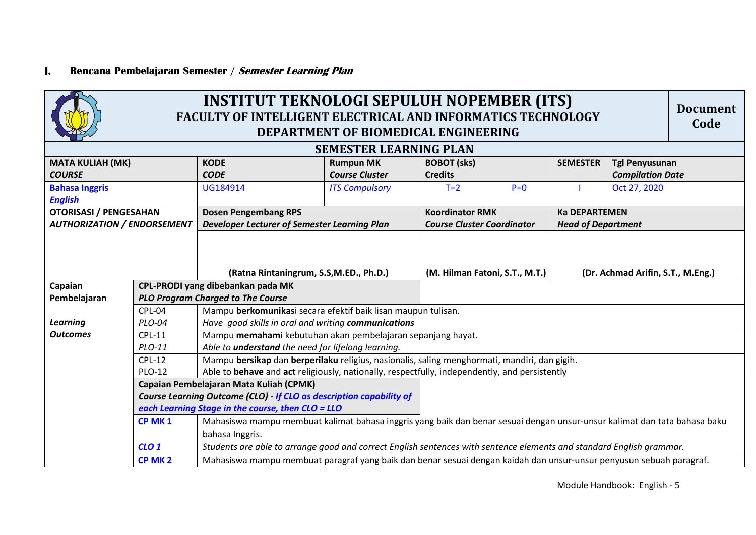#### **I. Rencana Pembelajaran Semester / Semester Learning Plan**

| <b>INSTITUT TEKNOLOGI SEPULUH NOPEMBER (ITS)</b><br><b>Document</b><br><b>FACULTY OF INTELLIGENT ELECTRICAL AND INFORMATICS TECHNOLOGY</b><br>Code<br>DEPARTMENT OF BIOMEDICAL ENGINEERING |                               |                                                                                                                           |                       |                                   |       |                                   |                         |  |  |
|--------------------------------------------------------------------------------------------------------------------------------------------------------------------------------------------|-------------------------------|---------------------------------------------------------------------------------------------------------------------------|-----------------------|-----------------------------------|-------|-----------------------------------|-------------------------|--|--|
|                                                                                                                                                                                            | <b>SEMESTER LEARNING PLAN</b> |                                                                                                                           |                       |                                   |       |                                   |                         |  |  |
| <b>MATA KULIAH (MK)</b>                                                                                                                                                                    |                               | <b>KODE</b>                                                                                                               | <b>Rumpun MK</b>      | <b>BOBOT</b> (sks)                |       | <b>SEMESTER</b>                   | <b>Tgl Penyusunan</b>   |  |  |
| <b>COURSE</b>                                                                                                                                                                              |                               | <b>CODE</b>                                                                                                               | <b>Course Cluster</b> | <b>Credits</b>                    |       |                                   | <b>Compilation Date</b> |  |  |
| <b>Bahasa Inggris</b>                                                                                                                                                                      |                               | UG184914                                                                                                                  | <b>ITS Compulsory</b> | $T=2$                             | $P=0$ |                                   | Oct 27, 2020            |  |  |
| <b>English</b>                                                                                                                                                                             |                               |                                                                                                                           |                       |                                   |       |                                   |                         |  |  |
| <b>OTORISASI / PENGESAHAN</b>                                                                                                                                                              |                               | <b>Dosen Pengembang RPS</b>                                                                                               |                       | <b>Koordinator RMK</b>            |       | <b>Ka DEPARTEMEN</b>              |                         |  |  |
| <b>AUTHORIZATION / ENDORSEMENT</b>                                                                                                                                                         |                               | Developer Lecturer of Semester Learning Plan                                                                              |                       | <b>Course Cluster Coordinator</b> |       | <b>Head of Department</b>         |                         |  |  |
|                                                                                                                                                                                            |                               |                                                                                                                           |                       |                                   |       |                                   |                         |  |  |
|                                                                                                                                                                                            |                               | (Ratna Rintaningrum, S.S,M.ED., Ph.D.)                                                                                    |                       |                                   |       | (Dr. Achmad Arifin, S.T., M.Eng.) |                         |  |  |
|                                                                                                                                                                                            |                               | CPL-PRODI yang dibebankan pada MK                                                                                         |                       | (M. Hilman Fatoni, S.T., M.T.)    |       |                                   |                         |  |  |
| Capaian<br>Pembelajaran                                                                                                                                                                    |                               | <b>PLO Program Charged to The Course</b>                                                                                  |                       |                                   |       |                                   |                         |  |  |
|                                                                                                                                                                                            | CPL-04                        | Mampu berkomunikasi secara efektif baik lisan maupun tulisan.                                                             |                       |                                   |       |                                   |                         |  |  |
| <b>Learning</b>                                                                                                                                                                            | PLO-04                        | Have good skills in oral and writing communications                                                                       |                       |                                   |       |                                   |                         |  |  |
| <b>Outcomes</b>                                                                                                                                                                            | <b>CPL-11</b>                 | Mampu memahami kebutuhan akan pembelajaran sepanjang hayat.                                                               |                       |                                   |       |                                   |                         |  |  |
|                                                                                                                                                                                            | $PLO-11$                      | Able to <i>understand</i> the need for lifelong learning.                                                                 |                       |                                   |       |                                   |                         |  |  |
|                                                                                                                                                                                            | $CPL-12$                      | Mampu bersikap dan berperilaku religius, nasionalis, saling menghormati, mandiri, dan gigih.                              |                       |                                   |       |                                   |                         |  |  |
|                                                                                                                                                                                            | <b>PLO-12</b>                 | Able to behave and act religiously, nationally, respectfully, independently, and persistently                             |                       |                                   |       |                                   |                         |  |  |
|                                                                                                                                                                                            |                               | Capaian Pembelajaran Mata Kuliah (CPMK)                                                                                   |                       |                                   |       |                                   |                         |  |  |
|                                                                                                                                                                                            |                               | Course Learning Outcome (CLO) If CLO as description capability of                                                         |                       |                                   |       |                                   |                         |  |  |
|                                                                                                                                                                                            |                               | each Learning Stage in the course, then CLO = LLO                                                                         |                       |                                   |       |                                   |                         |  |  |
|                                                                                                                                                                                            | CP MK <sub>1</sub>            | Mahasiswa mampu membuat kalimat bahasa inggris yang baik dan benar sesuai dengan unsur-unsur kalimat dan tata bahasa baku |                       |                                   |       |                                   |                         |  |  |
|                                                                                                                                                                                            |                               | bahasa Inggris.                                                                                                           |                       |                                   |       |                                   |                         |  |  |
|                                                                                                                                                                                            | CLO <sub>1</sub>              | Students are able to arrange good and correct English sentences with sentence elements and standard English grammar.      |                       |                                   |       |                                   |                         |  |  |
|                                                                                                                                                                                            | CP MK <sub>2</sub>            | Mahasiswa mampu membuat paragraf yang baik dan benar sesuai dengan kaidah dan unsur-unsur penyusun sebuah paragraf.       |                       |                                   |       |                                   |                         |  |  |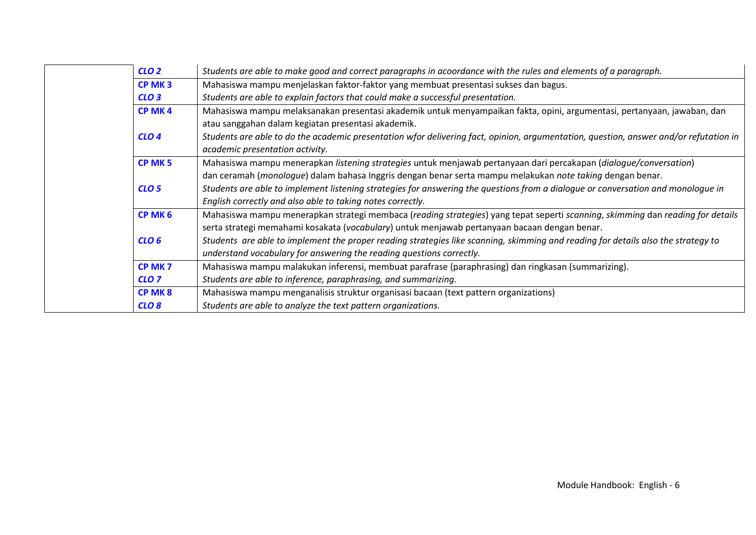| CLO <sub>2</sub>   | Students are able to make good and correct paragraphs in acoordance with the rules and elements of a paragraph.                       |
|--------------------|---------------------------------------------------------------------------------------------------------------------------------------|
| CP MK <sub>3</sub> | Mahasiswa mampu menjelaskan faktor-faktor yang membuat presentasi sukses dan bagus.                                                   |
| CLO3               | Students are able to explain factors that could make a successful presentation.                                                       |
| CP MK4             | Mahasiswa mampu melaksanakan presentasi akademik untuk menyampaikan fakta, opini, argumentasi, pertanyaan, jawaban, dan               |
|                    | atau sanggahan dalam kegiatan presentasi akademik.                                                                                    |
| CLO <sub>4</sub>   | Students are able to do the academic presentation wfor delivering fact, opinion, argumentation, question, answer and/or refutation in |
|                    | academic presentation activity.                                                                                                       |
| CP MK <sub>5</sub> | Mahasiswa mampu menerapkan listening strategies untuk menjawab pertanyaan dari percakapan (dialogue/conversation)                     |
|                    | dan ceramah (monologue) dalam bahasa Inggris dengan benar serta mampu melakukan note taking dengan benar.                             |
| CLO <sub>5</sub>   | Students are able to implement listening strategies for answering the questions from a dialogue or conversation and monologue in      |
|                    | English correctly and also able to taking notes correctly.                                                                            |
| CP MK 6            | Mahasiswa mampu menerapkan strategi membaca (reading strategies) yang tepat seperti scanning, skimming dan reading for details        |
|                    | serta strategi memahami kosakata (vocabulary) untuk menjawab pertanyaan bacaan dengan benar.                                          |
| CLO <sub>6</sub>   | Students are able to implement the proper reading strategies like scanning, skimming and reading for details also the strategy to     |
|                    | understand vocabulary for answering the reading questions correctly.                                                                  |
| CP MK <sub>7</sub> | Mahasiswa mampu malakukan inferensi, membuat parafrase (paraphrasing) dan ringkasan (summarizing).                                    |
| CLO <sub>7</sub>   | Students are able to inference, paraphrasing, and summarizing.                                                                        |
| <b>CP MK8</b>      | Mahasiswa mampu menganalisis struktur organisasi bacaan (text pattern organizations)                                                  |
| CLO <sub>8</sub>   | Students are able to analyze the text pattern organizations.                                                                          |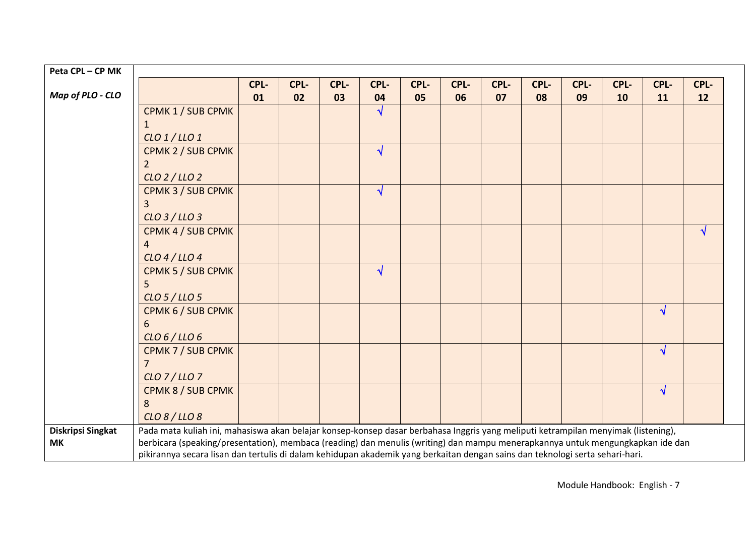| Peta CPL-CP MK    |                                                                                                                                    |      |      |      |            |      |      |      |      |      |      |            |           |
|-------------------|------------------------------------------------------------------------------------------------------------------------------------|------|------|------|------------|------|------|------|------|------|------|------------|-----------|
|                   |                                                                                                                                    | CPL- | CPL- | CPL- | CPL-       | CPL- | CPL- | CPL- | CPL- | CPL- | CPL- | CPL-       | CPL-      |
| Map of PLO - CLO  |                                                                                                                                    | 01   | 02   | 03   | 04         | 05   | 06   | 07   | 08   | 09   | 10   | 11         | 12        |
|                   | CPMK 1 / SUB CPMK                                                                                                                  |      |      |      | $\sqrt{2}$ |      |      |      |      |      |      |            |           |
|                   |                                                                                                                                    |      |      |      |            |      |      |      |      |      |      |            |           |
|                   | $CLO$ $1/$ $LLO$ $1$                                                                                                               |      |      |      |            |      |      |      |      |      |      |            |           |
|                   | CPMK 2 / SUB CPMK                                                                                                                  |      |      |      | $\sqrt{ }$ |      |      |      |      |      |      |            |           |
|                   |                                                                                                                                    |      |      |      |            |      |      |      |      |      |      |            |           |
|                   | $CLO$ 2 / LLO 2                                                                                                                    |      |      |      |            |      |      |      |      |      |      |            |           |
|                   | CPMK 3 / SUB CPMK                                                                                                                  |      |      |      | $\sqrt{ }$ |      |      |      |      |      |      |            |           |
|                   |                                                                                                                                    |      |      |      |            |      |      |      |      |      |      |            |           |
|                   | CLO 3 / LLO 3                                                                                                                      |      |      |      |            |      |      |      |      |      |      |            |           |
|                   | CPMK 4 / SUB CPMK                                                                                                                  |      |      |      |            |      |      |      |      |      |      |            | $\sqrt{}$ |
|                   | 4                                                                                                                                  |      |      |      |            |      |      |      |      |      |      |            |           |
|                   | $CLO$ 4 / LLO 4                                                                                                                    |      |      |      |            |      |      |      |      |      |      |            |           |
|                   | CPMK 5 / SUB CPMK                                                                                                                  |      |      |      | $\sqrt{ }$ |      |      |      |      |      |      |            |           |
|                   |                                                                                                                                    |      |      |      |            |      |      |      |      |      |      |            |           |
|                   | CLO 5 / LLO 5                                                                                                                      |      |      |      |            |      |      |      |      |      |      |            |           |
|                   | CPMK 6 / SUB CPMK                                                                                                                  |      |      |      |            |      |      |      |      |      |      | $\sqrt{ }$ |           |
|                   | 6                                                                                                                                  |      |      |      |            |      |      |      |      |      |      |            |           |
|                   | CLO 6/LO 6                                                                                                                         |      |      |      |            |      |      |      |      |      |      |            |           |
|                   | CPMK 7 / SUB CPMK                                                                                                                  |      |      |      |            |      |      |      |      |      |      | $\sqrt{}$  |           |
|                   |                                                                                                                                    |      |      |      |            |      |      |      |      |      |      |            |           |
|                   | $CLO$ 7/LLO 7                                                                                                                      |      |      |      |            |      |      |      |      |      |      |            |           |
|                   | CPMK 8 / SUB CPMK                                                                                                                  |      |      |      |            |      |      |      |      |      |      | $\sqrt{ }$ |           |
|                   | 8                                                                                                                                  |      |      |      |            |      |      |      |      |      |      |            |           |
|                   | CLO 8 / LLO 8                                                                                                                      |      |      |      |            |      |      |      |      |      |      |            |           |
| Diskripsi Singkat | Pada mata kuliah ini, mahasiswa akan belajar konsep-konsep dasar berbahasa Inggris yang meliputi ketrampilan menyimak (listening), |      |      |      |            |      |      |      |      |      |      |            |           |
| <b>MK</b>         | berbicara (speaking/presentation), membaca (reading) dan menulis (writing) dan mampu menerapkannya untuk mengungkapkan ide dan     |      |      |      |            |      |      |      |      |      |      |            |           |
|                   | pikirannya secara lisan dan tertulis di dalam kehidupan akademik yang berkaitan dengan sains dan teknologi serta sehari-hari.      |      |      |      |            |      |      |      |      |      |      |            |           |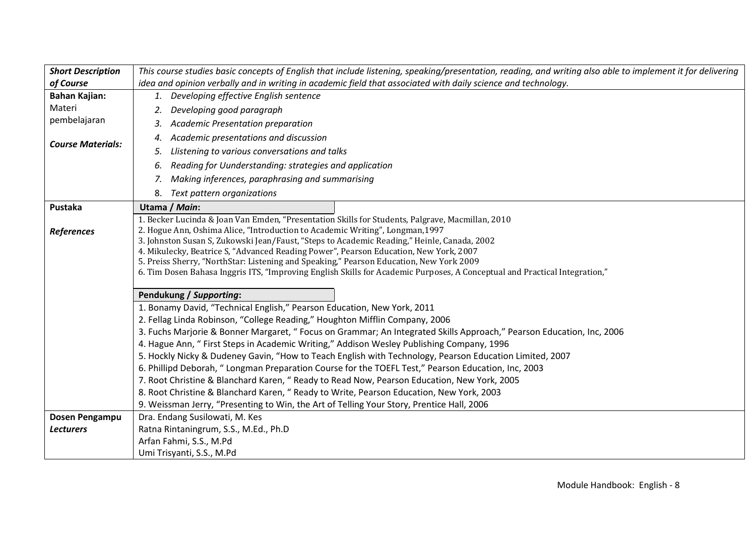| <b>Short Description</b> | This course studies basic concepts of English that include listening, speaking/presentation, reading, and writing also able to implement it for delivering                                                                                                                                                                                                                                                                                                                                                                                                                                         |  |  |  |  |  |  |  |  |
|--------------------------|----------------------------------------------------------------------------------------------------------------------------------------------------------------------------------------------------------------------------------------------------------------------------------------------------------------------------------------------------------------------------------------------------------------------------------------------------------------------------------------------------------------------------------------------------------------------------------------------------|--|--|--|--|--|--|--|--|
| of Course                | idea and opinion verbally and in writing in academic field that associated with daily science and technology.                                                                                                                                                                                                                                                                                                                                                                                                                                                                                      |  |  |  |  |  |  |  |  |
| <b>Bahan Kajian:</b>     | 1. Developing effective English sentence                                                                                                                                                                                                                                                                                                                                                                                                                                                                                                                                                           |  |  |  |  |  |  |  |  |
| Materi                   | Developing good paragraph<br>2.                                                                                                                                                                                                                                                                                                                                                                                                                                                                                                                                                                    |  |  |  |  |  |  |  |  |
| pembelajaran             | Academic Presentation preparation<br>3.                                                                                                                                                                                                                                                                                                                                                                                                                                                                                                                                                            |  |  |  |  |  |  |  |  |
| <b>Course Materials:</b> | Academic presentations and discussion<br>4.                                                                                                                                                                                                                                                                                                                                                                                                                                                                                                                                                        |  |  |  |  |  |  |  |  |
|                          | Llistening to various conversations and talks<br>5.                                                                                                                                                                                                                                                                                                                                                                                                                                                                                                                                                |  |  |  |  |  |  |  |  |
|                          | Reading for Uunderstanding: strategies and application<br>6.                                                                                                                                                                                                                                                                                                                                                                                                                                                                                                                                       |  |  |  |  |  |  |  |  |
|                          | Making inferences, paraphrasing and summarising<br>7.                                                                                                                                                                                                                                                                                                                                                                                                                                                                                                                                              |  |  |  |  |  |  |  |  |
|                          | 8.<br>Text pattern organizations                                                                                                                                                                                                                                                                                                                                                                                                                                                                                                                                                                   |  |  |  |  |  |  |  |  |
| Pustaka                  | Utama / Main:                                                                                                                                                                                                                                                                                                                                                                                                                                                                                                                                                                                      |  |  |  |  |  |  |  |  |
| <b>References</b>        | 1. Becker Lucinda & Joan Van Emden, "Presentation Skills for Students, Palgrave, Macmillan, 2010<br>2. Hogue Ann, Oshima Alice, "Introduction to Academic Writing", Longman, 1997<br>3. Johnston Susan S, Zukowski Jean/Faust, "Steps to Academic Reading," Heinle, Canada, 2002<br>4. Mikulecky, Beatrice S, "Advanced Reading Power", Pearson Education, New York, 2007<br>5. Preiss Sherry, "NorthStar: Listening and Speaking," Pearson Education, New York 2009<br>6. Tim Dosen Bahasa Inggris ITS, "Improving English Skills for Academic Purposes, A Conceptual and Practical Integration," |  |  |  |  |  |  |  |  |
|                          | Pendukung / Supporting:                                                                                                                                                                                                                                                                                                                                                                                                                                                                                                                                                                            |  |  |  |  |  |  |  |  |
|                          | 1. Bonamy David, "Technical English," Pearson Education, New York, 2011                                                                                                                                                                                                                                                                                                                                                                                                                                                                                                                            |  |  |  |  |  |  |  |  |
|                          | 2. Fellag Linda Robinson, "College Reading," Houghton Mifflin Company, 2006                                                                                                                                                                                                                                                                                                                                                                                                                                                                                                                        |  |  |  |  |  |  |  |  |
|                          | 3. Fuchs Marjorie & Bonner Margaret, " Focus on Grammar; An Integrated Skills Approach," Pearson Education, Inc, 2006                                                                                                                                                                                                                                                                                                                                                                                                                                                                              |  |  |  |  |  |  |  |  |
|                          | 4. Hague Ann, " First Steps in Academic Writing," Addison Wesley Publishing Company, 1996                                                                                                                                                                                                                                                                                                                                                                                                                                                                                                          |  |  |  |  |  |  |  |  |
|                          | 5. Hockly Nicky & Dudeney Gavin, "How to Teach English with Technology, Pearson Education Limited, 2007                                                                                                                                                                                                                                                                                                                                                                                                                                                                                            |  |  |  |  |  |  |  |  |
|                          | 6. Phillipd Deborah, " Longman Preparation Course for the TOEFL Test," Pearson Education, Inc, 2003                                                                                                                                                                                                                                                                                                                                                                                                                                                                                                |  |  |  |  |  |  |  |  |
|                          | 7. Root Christine & Blanchard Karen, " Ready to Read Now, Pearson Education, New York, 2005                                                                                                                                                                                                                                                                                                                                                                                                                                                                                                        |  |  |  |  |  |  |  |  |
|                          | 8. Root Christine & Blanchard Karen, "Ready to Write, Pearson Education, New York, 2003                                                                                                                                                                                                                                                                                                                                                                                                                                                                                                            |  |  |  |  |  |  |  |  |
|                          | 9. Weissman Jerry, "Presenting to Win, the Art of Telling Your Story, Prentice Hall, 2006                                                                                                                                                                                                                                                                                                                                                                                                                                                                                                          |  |  |  |  |  |  |  |  |
| Dosen Pengampu           | Dra. Endang Susilowati, M. Kes                                                                                                                                                                                                                                                                                                                                                                                                                                                                                                                                                                     |  |  |  |  |  |  |  |  |
| <b>Lecturers</b>         | Ratna Rintaningrum, S.S., M.Ed., Ph.D                                                                                                                                                                                                                                                                                                                                                                                                                                                                                                                                                              |  |  |  |  |  |  |  |  |
|                          | Arfan Fahmi, S.S., M.Pd                                                                                                                                                                                                                                                                                                                                                                                                                                                                                                                                                                            |  |  |  |  |  |  |  |  |
|                          | Umi Trisyanti, S.S., M.Pd                                                                                                                                                                                                                                                                                                                                                                                                                                                                                                                                                                          |  |  |  |  |  |  |  |  |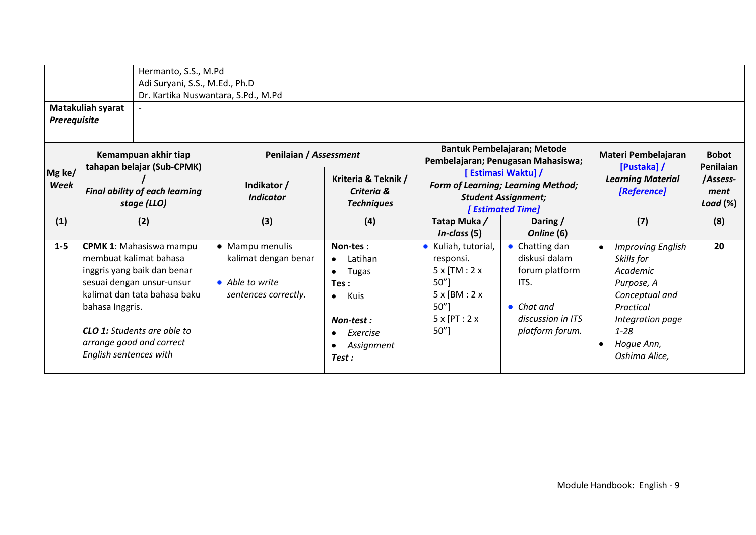| Prerequisite   | Matakuliah syarat                                                                                          | Hermanto, S.S., M.Pd<br>Adi Suryani, S.S., M.Ed., Ph.D                                                                                                                                                                 | Dr. Kartika Nuswantara, S.Pd., M.Pd                                                |                                                                                                     |                                                                                                                     |                                                                                                                       |                                                                                                                                                                                  |                                  |
|----------------|------------------------------------------------------------------------------------------------------------|------------------------------------------------------------------------------------------------------------------------------------------------------------------------------------------------------------------------|------------------------------------------------------------------------------------|-----------------------------------------------------------------------------------------------------|---------------------------------------------------------------------------------------------------------------------|-----------------------------------------------------------------------------------------------------------------------|----------------------------------------------------------------------------------------------------------------------------------------------------------------------------------|----------------------------------|
| Mg ke/<br>Week | Kemampuan akhir tiap<br>tahapan belajar (Sub-CPMK)<br><b>Final ability of each learning</b><br>stage (LLO) |                                                                                                                                                                                                                        | Penilaian / Assessment                                                             |                                                                                                     |                                                                                                                     | <b>Bantuk Pembelajaran; Metode</b><br>Pembelajaran; Penugasan Mahasiswa;                                              | Materi Pembelajaran<br>[Pustaka] /                                                                                                                                               | <b>Bobot</b><br><b>Penilaian</b> |
|                |                                                                                                            |                                                                                                                                                                                                                        | Indikator /<br><b>Indicator</b>                                                    | Kriteria & Teknik /<br>Criteria &<br><b>Techniques</b>                                              | [ Estimasi Waktu] /<br><b>Form of Learning; Learning Method;</b><br><b>Student Assignment;</b><br>[ Estimated Time] |                                                                                                                       | <b>Learning Material</b><br>[Reference]                                                                                                                                          | /Assess-<br>ment<br>Load $(\%)$  |
| (1)            |                                                                                                            | (2)                                                                                                                                                                                                                    | (3)                                                                                | (4)                                                                                                 | Tatap Muka/<br>$In-class (5)$                                                                                       | Daring /<br>Online (6)                                                                                                | (7)                                                                                                                                                                              | (8)                              |
| $1 - 5$        | bahasa Inggris.<br>English sentences with                                                                  | <b>CPMK 1: Mahasiswa mampu</b><br>membuat kalimat bahasa<br>inggris yang baik dan benar<br>sesuai dengan unsur-unsur<br>kalimat dan tata bahasa baku<br><b>CLO 1:</b> Students are able to<br>arrange good and correct | • Mampu menulis<br>kalimat dengan benar<br>• Able to write<br>sentences correctly. | Non-tes:<br>Latihan<br><b>Tugas</b><br>Tes:<br>Kuis<br>Non-test:<br>Exercise<br>Assignment<br>Test: | • Kuliah, tutorial,<br>responsi.<br>$5x$ [TM : 2 x<br>50"]<br>$5x$ [BM : 2 x<br>$50"$ ]<br>5x[PT:2x]<br>50"]        | Chatting dan<br>diskusi dalam<br>forum platform<br>ITS.<br>$\bullet$ Chat and<br>discussion in ITS<br>platform forum. | <b>Improving English</b><br>$\bullet$<br>Skills for<br>Academic<br>Purpose, A<br>Conceptual and<br>Practical<br>Integration page<br>$1 - 28$<br>Hogue Ann,<br>٠<br>Oshima Alice, | 20                               |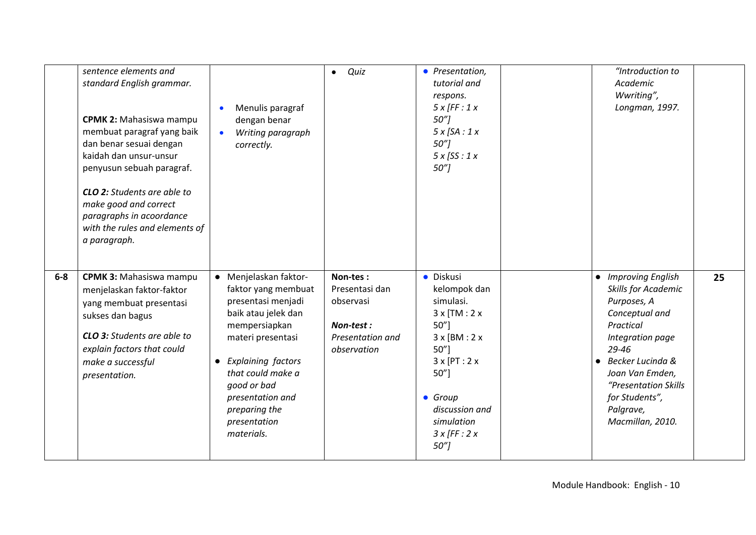|       | sentence elements and<br>standard English grammar.<br><b>CPMK 2: Mahasiswa mampu</b><br>membuat paragraf yang baik<br>dan benar sesuai dengan<br>kaidah dan unsur-unsur<br>penyusun sebuah paragraf.<br><b>CLO 2:</b> Students are able to<br>make good and correct<br>paragraphs in acoordance<br>with the rules and elements of<br>a paragraph. | Menulis paragraf<br>dengan benar<br>Writing paragraph<br>correctly.                                                                                                                                                                                            | Quiz<br>$\bullet$                                                                       | • Presentation,<br>tutorial and<br>respons.<br>$5x$ [FF : 1 x<br>50 <sup>7</sup><br>$5x$ [SA : 1 x<br>50 <sup>7</sup><br>$5x$ [SS : 1 x<br>$50''$ ]                                                 | "Introduction to<br>Academic<br>Wwriting",<br>Longman, 1997.                                                                                                                                                                                             |    |
|-------|---------------------------------------------------------------------------------------------------------------------------------------------------------------------------------------------------------------------------------------------------------------------------------------------------------------------------------------------------|----------------------------------------------------------------------------------------------------------------------------------------------------------------------------------------------------------------------------------------------------------------|-----------------------------------------------------------------------------------------|-----------------------------------------------------------------------------------------------------------------------------------------------------------------------------------------------------|----------------------------------------------------------------------------------------------------------------------------------------------------------------------------------------------------------------------------------------------------------|----|
| $6-8$ | <b>CPMK 3: Mahasiswa mampu</b><br>menjelaskan faktor-faktor<br>yang membuat presentasi<br>sukses dan bagus<br><b>CLO 3:</b> Students are able to<br>explain factors that could<br>make a successful<br>presentation.                                                                                                                              | • Menjelaskan faktor-<br>faktor yang membuat<br>presentasi menjadi<br>baik atau jelek dan<br>mempersiapkan<br>materi presentasi<br>• Explaining factors<br>that could make a<br>good or bad<br>presentation and<br>preparing the<br>presentation<br>materials. | Non-tes:<br>Presentasi dan<br>observasi<br>Non-test:<br>Presentation and<br>observation | · Diskusi<br>kelompok dan<br>simulasi.<br>$3x$ [TM : 2 x<br>50"]<br>$3x$ [BM : 2 x<br>50"<br>$3x$ [PT : 2 x<br>50"<br>• Group<br>discussion and<br>simulation<br>$3x$ [FF : 2 x<br>50 <sup>''</sup> | • Improving English<br>Skills for Academic<br>Purposes, A<br>Conceptual and<br>Practical<br>Integration page<br>$29 - 46$<br>Becker Lucinda &<br>$\bullet$<br>Joan Van Emden,<br>"Presentation Skills<br>for Students",<br>Palgrave,<br>Macmillan, 2010. | 25 |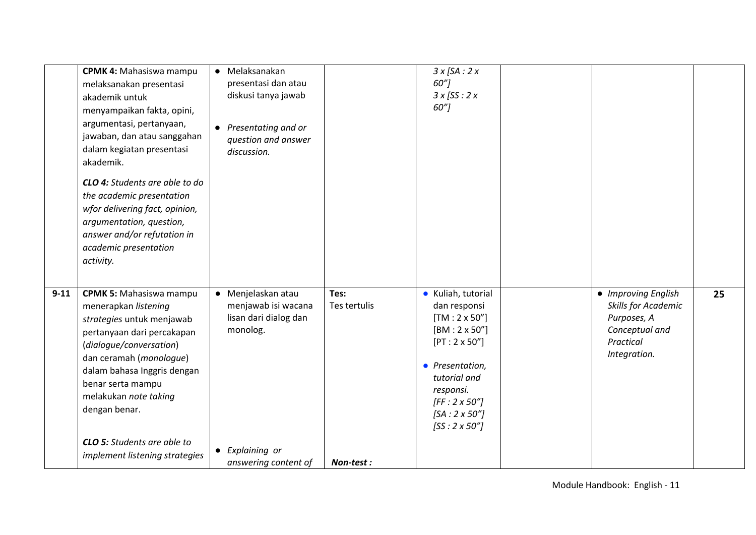|          | <b>CPMK 4: Mahasiswa mampu</b><br>melaksanakan presentasi<br>akademik untuk<br>menyampaikan fakta, opini,<br>argumentasi, pertanyaan,<br>jawaban, dan atau sanggahan<br>dalam kegiatan presentasi<br>akademik.<br><b>CLO 4:</b> Students are able to do<br>the academic presentation<br>wfor delivering fact, opinion,<br>argumentation, question,<br>answer and/or refutation in<br>academic presentation<br>activity. | • Melaksanakan<br>presentasi dan atau<br>diskusi tanya jawab<br>• Presentating and or<br>question and answer<br>discussion. |                      | $3x$ [SA : 2 x<br>60"]<br>$3x$ [SS : 2 x<br>60"]                                                                                                                                                                                 |                                                                                                          |    |
|----------|-------------------------------------------------------------------------------------------------------------------------------------------------------------------------------------------------------------------------------------------------------------------------------------------------------------------------------------------------------------------------------------------------------------------------|-----------------------------------------------------------------------------------------------------------------------------|----------------------|----------------------------------------------------------------------------------------------------------------------------------------------------------------------------------------------------------------------------------|----------------------------------------------------------------------------------------------------------|----|
| $9 - 11$ | <b>CPMK 5: Mahasiswa mampu</b><br>menerapkan listening<br>strategies untuk menjawab<br>pertanyaan dari percakapan<br>(dialogue/conversation)<br>dan ceramah (monologue)<br>dalam bahasa Inggris dengan<br>benar serta mampu<br>melakukan note taking<br>dengan benar.<br><b>CLO 5:</b> Students are able to                                                                                                             | • Menjelaskan atau<br>menjawab isi wacana<br>lisan dari dialog dan<br>monolog.                                              | Tes:<br>Tes tertulis | • Kuliah, tutorial<br>dan responsi<br>$[TM:2 \times 50'']$<br>$[BM:2 \times 50'']$<br>$[PT: 2 \times 50" ]$<br>• Presentation,<br>tutorial and<br>responsi.<br>$[FF:2 \times 50"]$<br>$[SA:2 \times 50"]$<br>$[SS:2 \times 50"]$ | • Improving English<br>Skills for Academic<br>Purposes, A<br>Conceptual and<br>Practical<br>Integration. | 25 |
|          | implement listening strategies                                                                                                                                                                                                                                                                                                                                                                                          | • Explaining or<br>answering content of                                                                                     | Non-test:            |                                                                                                                                                                                                                                  |                                                                                                          |    |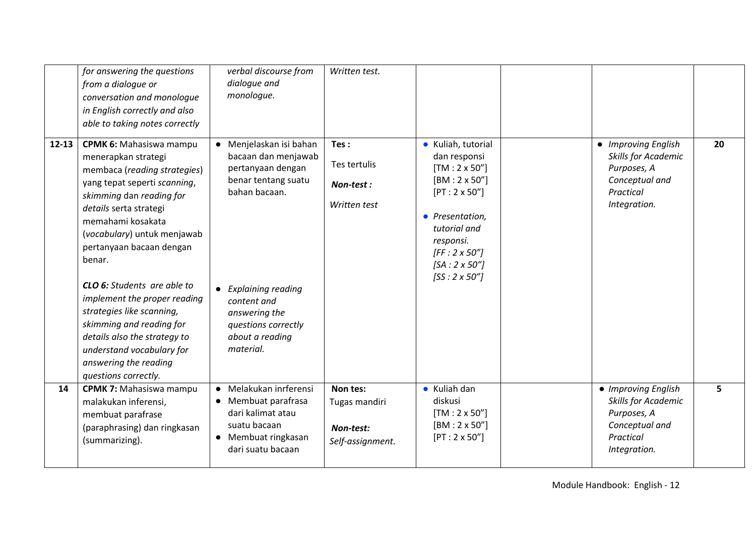|           | for answering the questions<br>from a dialogue or<br>conversation and monologue<br>in English correctly and also<br>able to taking notes correctly                                                                                                                                                                                                                                                                                                                                                                 | verbal discourse from<br>dialogue and<br>monologue.                                                                                                                                                                                   | Written test.                                              |                                                                                                                                                                                                                                 |                                                                                                                 |    |
|-----------|--------------------------------------------------------------------------------------------------------------------------------------------------------------------------------------------------------------------------------------------------------------------------------------------------------------------------------------------------------------------------------------------------------------------------------------------------------------------------------------------------------------------|---------------------------------------------------------------------------------------------------------------------------------------------------------------------------------------------------------------------------------------|------------------------------------------------------------|---------------------------------------------------------------------------------------------------------------------------------------------------------------------------------------------------------------------------------|-----------------------------------------------------------------------------------------------------------------|----|
| $12 - 13$ | <b>CPMK 6: Mahasiswa mampu</b><br>menerapkan strategi<br>membaca (reading strategies)<br>yang tepat seperti scanning,<br>skimming dan reading for<br>details serta strategi<br>memahami kosakata<br>(vocabulary) untuk menjawab<br>pertanyaan bacaan dengan<br>benar.<br><b>CLO 6:</b> Students are able to<br>implement the proper reading<br>strategies like scanning,<br>skimming and reading for<br>details also the strategy to<br>understand vocabulary for<br>answering the reading<br>questions correctly. | Menjelaskan isi bahan<br>$\bullet$<br>bacaan dan menjawab<br>pertanyaan dengan<br>benar tentang suatu<br>bahan bacaan.<br>• Explaining reading<br>content and<br>answering the<br>questions correctly<br>about a reading<br>material. | Tes:<br>Tes tertulis<br>Non-test:<br>Written test          | • Kuliah, tutorial<br>dan responsi<br>$[TM:2 \times 50'']$<br>$[BM:2 \times 50'']$<br>$[PT:2 \times 50'']$<br>• Presentation,<br>tutorial and<br>responsi.<br>$[FF:2 \times 50"]$<br>$[SA:2 \times 50"]$<br>$[SS:2 \times 50"]$ | • Improving English<br>Skills for Academic<br>Purposes, A<br>Conceptual and<br>Practical<br>Integration.        | 20 |
| 14        | <b>CPMK 7: Mahasiswa mampu</b><br>malakukan inferensi,<br>membuat parafrase<br>(paraphrasing) dan ringkasan<br>(summarizing).                                                                                                                                                                                                                                                                                                                                                                                      | Melakukan inrferensi<br>$\bullet$<br>• Membuat parafrasa<br>dari kalimat atau<br>suatu bacaan<br>• Membuat ringkasan<br>dari suatu bacaan                                                                                             | Non tes:<br>Tugas mandiri<br>Non-test:<br>Self-assignment. | • Kuliah dan<br>diskusi<br>$[TM: 2 \times 50"$<br>$[BM:2 \times 50'']$<br>$[PT: 2 \times 50'']$                                                                                                                                 | • Improving English<br><b>Skills for Academic</b><br>Purposes, A<br>Conceptual and<br>Practical<br>Integration. | 5  |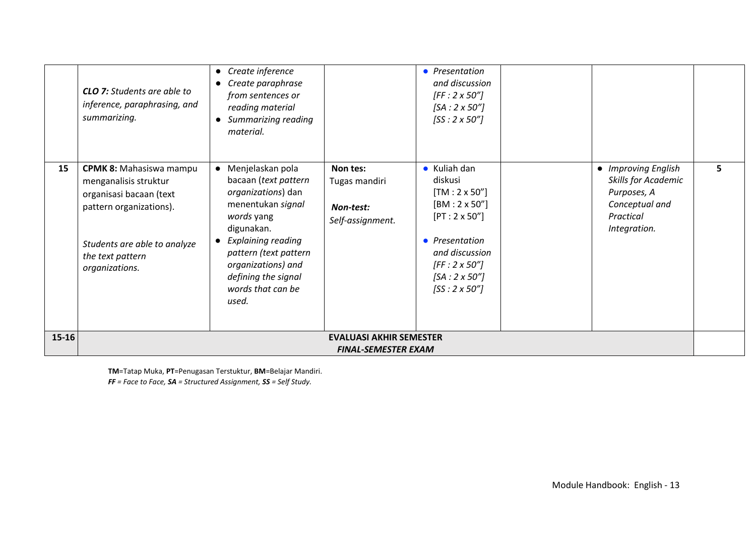|       | <b>CLO 7:</b> Students are able to<br>inference, paraphrasing, and<br>summarizing.                                                                                                  | Create inference<br>$\bullet$<br>Create paraphrase<br>$\bullet$<br>from sentences or<br>reading material<br>Summarizing reading<br>$\bullet$<br>material.                                                                                                                  |                                                              | • Presentation<br>and discussion<br>$[FF:2 \times 50"]$<br>$[SA:2 \times 50"]$<br>$[SS:2 \times 50"]$                                                                                                             |                                                                                                          |    |
|-------|-------------------------------------------------------------------------------------------------------------------------------------------------------------------------------------|----------------------------------------------------------------------------------------------------------------------------------------------------------------------------------------------------------------------------------------------------------------------------|--------------------------------------------------------------|-------------------------------------------------------------------------------------------------------------------------------------------------------------------------------------------------------------------|----------------------------------------------------------------------------------------------------------|----|
| 15    | <b>CPMK 8: Mahasiswa mampu</b><br>menganalisis struktur<br>organisasi bacaan (text<br>pattern organizations).<br>Students are able to analyze<br>the text pattern<br>organizations. | Menjelaskan pola<br>$\bullet$<br>bacaan (text pattern<br>organizations) dan<br>menentukan signal<br>words yang<br>digunakan.<br><b>Explaining reading</b><br>$\bullet$<br>pattern (text pattern<br>organizations) and<br>defining the signal<br>words that can be<br>used. | Non tes:<br>Tugas mandiri<br>Non-test:<br>Self-assignment.   | $\bullet$ Kuliah dan<br>diskusi<br>$[TM: 2 \times 50'']$<br>$[BM:2 \times 50'']$<br>$[PT:2 \times 50'']$<br>• Presentation<br>and discussion<br>$[FF:2 \times 50"]$<br>$[SA:2 \times 50"]$<br>$[SS:2 \times 50"]$ | • Improving English<br>Skills for Academic<br>Purposes, A<br>Conceptual and<br>Practical<br>Integration. | 5. |
| 15-16 |                                                                                                                                                                                     |                                                                                                                                                                                                                                                                            | <b>EVALUASI AKHIR SEMESTER</b><br><b>FINAL-SEMESTER EXAM</b> |                                                                                                                                                                                                                   |                                                                                                          |    |

**TM**=Tatap Muka, **PT**=Penugasan Terstuktur, **BM**=Belajar Mandiri.

*FF = Face to Face, SA = Structured Assignment, SS = Self Study.*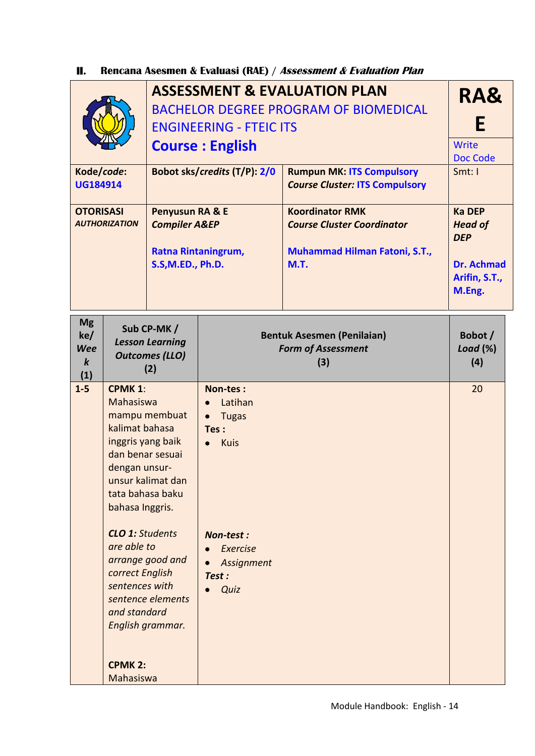#### **II. Rencana Asesmen & Evaluasi (RAE) / Assessment & Evaluation Plan**

|                                                                                                                         |                                                                                                                                                                                                                                              |                                                                                                 | <b>ASSESSMENT &amp; EVALUATION PLAN</b><br><b>BACHELOR DEGREE PROGRAM OF BIOMEDICAL</b><br><b>ENGINEERING - FTEIC ITS</b><br><b>Course: English</b> | RA&<br>E<br>Write<br>Doc Code                                                                 |        |
|-------------------------------------------------------------------------------------------------------------------------|----------------------------------------------------------------------------------------------------------------------------------------------------------------------------------------------------------------------------------------------|-------------------------------------------------------------------------------------------------|-----------------------------------------------------------------------------------------------------------------------------------------------------|-----------------------------------------------------------------------------------------------|--------|
| Kode/code:<br><b>UG184914</b>                                                                                           |                                                                                                                                                                                                                                              |                                                                                                 | Bobot sks/credits (T/P): 2/0                                                                                                                        | <b>Rumpun MK: ITS Compulsory</b><br><b>Course Cluster: ITS Compulsory</b>                     | Smt: I |
| <b>OTORISASI</b><br><b>Penyusun RA &amp; E</b><br><b>AUTHORIZATION</b><br><b>Compiler A&amp;EP</b><br>S.S, M.ED., Ph.D. |                                                                                                                                                                                                                                              | <b>Ratna Rintaningrum,</b>                                                                      | <b>Koordinator RMK</b><br><b>Course Cluster Coordinator</b><br><b>Muhammad Hilman Fatoni, S.T.,</b><br><b>M.T.</b>                                  | <b>Ka DEP</b><br><b>Head of</b><br><b>DEP</b><br><b>Dr. Achmad</b><br>Arifin, S.T.,<br>M.Eng. |        |
| <b>Mg</b><br>ke/<br><b>Wee</b><br>$\boldsymbol{k}$<br>(1)                                                               |                                                                                                                                                                                                                                              | Sub CP-MK/<br><b>Lesson Learning</b><br><b>Outcomes (LLO)</b><br>(2)                            | <b>Bentuk Asesmen (Penilaian)</b><br><b>Form of Assessment</b>                                                                                      | Bobot /<br>Load (%)<br>(4)                                                                    |        |
| $1 - 5$                                                                                                                 | <b>CPMK 1:</b><br>Mahasiswa<br>kalimat bahasa<br>inggris yang baik<br>dan benar sesuai<br>dengan unsur-<br>tata bahasa baku<br>bahasa Inggris.<br><b>CLO 1: Students</b><br>are able to<br>correct English<br>sentences with<br>and standard | mampu membuat<br>unsur kalimat dan<br>arrange good and<br>sentence elements<br>English grammar. | Non-tes:<br>Latihan<br><b>Tugas</b><br>$\bullet$<br>Tes:<br>Kuis<br>Non-test:<br>Exercise<br>Assignment<br>Test:<br>Quiz                            |                                                                                               | 20     |
|                                                                                                                         | <b>CPMK 2:</b><br>Mahasiswa                                                                                                                                                                                                                  |                                                                                                 |                                                                                                                                                     |                                                                                               |        |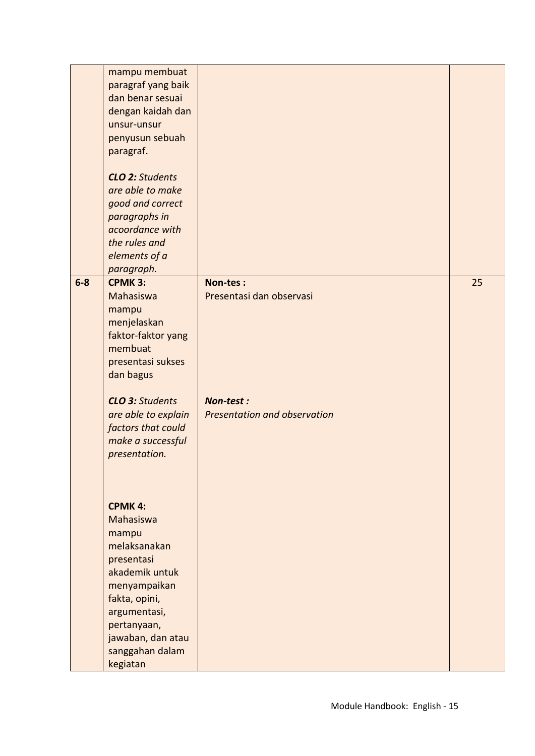|       | mampu membuat<br>paragraf yang baik<br>dan benar sesuai<br>dengan kaidah dan<br>unsur-unsur<br>penyusun sebuah<br>paragraf.<br><b>CLO 2: Students</b><br>are able to make<br>good and correct<br>paragraphs in<br>acoordance with<br>the rules and<br>elements of a<br>paragraph. |                                                  |    |
|-------|-----------------------------------------------------------------------------------------------------------------------------------------------------------------------------------------------------------------------------------------------------------------------------------|--------------------------------------------------|----|
| $6-8$ | <b>CPMK 3:</b><br><b>Mahasiswa</b><br>mampu<br>menjelaskan<br>faktor-faktor yang<br>membuat<br>presentasi sukses<br>dan bagus                                                                                                                                                     | Non-tes:<br>Presentasi dan observasi             | 25 |
|       | <b>CLO 3: Students</b><br>are able to explain<br>factors that could<br>make a successful<br>presentation.                                                                                                                                                                         | Non-test:<br><b>Presentation and observation</b> |    |
|       | <b>CPMK 4:</b><br>Mahasiswa<br>mampu<br>melaksanakan<br>presentasi<br>akademik untuk<br>menyampaikan<br>fakta, opini,<br>argumentasi,                                                                                                                                             |                                                  |    |
|       | pertanyaan,<br>jawaban, dan atau<br>sanggahan dalam<br>kegiatan                                                                                                                                                                                                                   |                                                  |    |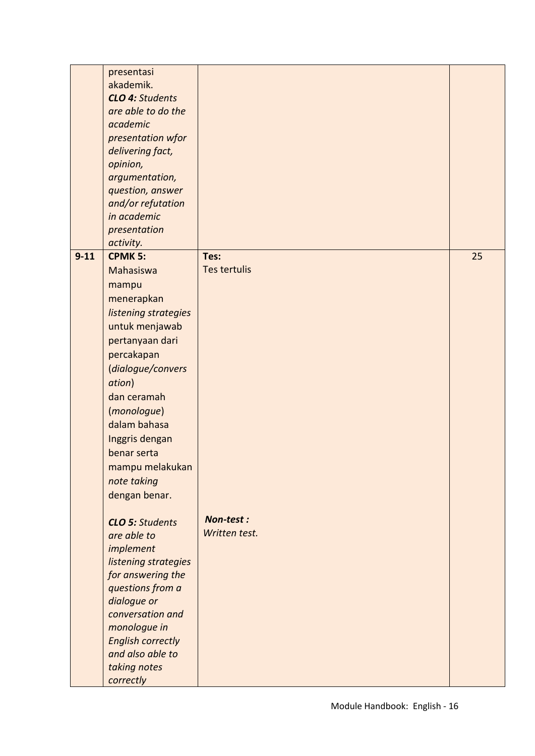| academic                 |                                                                                                                                                                                                                                                                                                                                                                                                                                                                                                                                                                                                                                |                                                           |
|--------------------------|--------------------------------------------------------------------------------------------------------------------------------------------------------------------------------------------------------------------------------------------------------------------------------------------------------------------------------------------------------------------------------------------------------------------------------------------------------------------------------------------------------------------------------------------------------------------------------------------------------------------------------|-----------------------------------------------------------|
| presentation wfor        |                                                                                                                                                                                                                                                                                                                                                                                                                                                                                                                                                                                                                                |                                                           |
|                          |                                                                                                                                                                                                                                                                                                                                                                                                                                                                                                                                                                                                                                |                                                           |
|                          |                                                                                                                                                                                                                                                                                                                                                                                                                                                                                                                                                                                                                                |                                                           |
|                          |                                                                                                                                                                                                                                                                                                                                                                                                                                                                                                                                                                                                                                |                                                           |
|                          |                                                                                                                                                                                                                                                                                                                                                                                                                                                                                                                                                                                                                                |                                                           |
|                          |                                                                                                                                                                                                                                                                                                                                                                                                                                                                                                                                                                                                                                |                                                           |
|                          |                                                                                                                                                                                                                                                                                                                                                                                                                                                                                                                                                                                                                                |                                                           |
|                          |                                                                                                                                                                                                                                                                                                                                                                                                                                                                                                                                                                                                                                |                                                           |
|                          |                                                                                                                                                                                                                                                                                                                                                                                                                                                                                                                                                                                                                                |                                                           |
|                          |                                                                                                                                                                                                                                                                                                                                                                                                                                                                                                                                                                                                                                |                                                           |
|                          |                                                                                                                                                                                                                                                                                                                                                                                                                                                                                                                                                                                                                                | 25                                                        |
| Mahasiswa                |                                                                                                                                                                                                                                                                                                                                                                                                                                                                                                                                                                                                                                |                                                           |
|                          |                                                                                                                                                                                                                                                                                                                                                                                                                                                                                                                                                                                                                                |                                                           |
|                          |                                                                                                                                                                                                                                                                                                                                                                                                                                                                                                                                                                                                                                |                                                           |
|                          |                                                                                                                                                                                                                                                                                                                                                                                                                                                                                                                                                                                                                                |                                                           |
|                          |                                                                                                                                                                                                                                                                                                                                                                                                                                                                                                                                                                                                                                |                                                           |
|                          |                                                                                                                                                                                                                                                                                                                                                                                                                                                                                                                                                                                                                                |                                                           |
|                          |                                                                                                                                                                                                                                                                                                                                                                                                                                                                                                                                                                                                                                |                                                           |
|                          |                                                                                                                                                                                                                                                                                                                                                                                                                                                                                                                                                                                                                                |                                                           |
| (dialogue/convers        |                                                                                                                                                                                                                                                                                                                                                                                                                                                                                                                                                                                                                                |                                                           |
|                          |                                                                                                                                                                                                                                                                                                                                                                                                                                                                                                                                                                                                                                |                                                           |
|                          |                                                                                                                                                                                                                                                                                                                                                                                                                                                                                                                                                                                                                                |                                                           |
|                          |                                                                                                                                                                                                                                                                                                                                                                                                                                                                                                                                                                                                                                |                                                           |
|                          |                                                                                                                                                                                                                                                                                                                                                                                                                                                                                                                                                                                                                                |                                                           |
|                          |                                                                                                                                                                                                                                                                                                                                                                                                                                                                                                                                                                                                                                |                                                           |
|                          |                                                                                                                                                                                                                                                                                                                                                                                                                                                                                                                                                                                                                                |                                                           |
|                          |                                                                                                                                                                                                                                                                                                                                                                                                                                                                                                                                                                                                                                |                                                           |
| mampu melakukan          |                                                                                                                                                                                                                                                                                                                                                                                                                                                                                                                                                                                                                                |                                                           |
|                          |                                                                                                                                                                                                                                                                                                                                                                                                                                                                                                                                                                                                                                |                                                           |
|                          |                                                                                                                                                                                                                                                                                                                                                                                                                                                                                                                                                                                                                                |                                                           |
|                          |                                                                                                                                                                                                                                                                                                                                                                                                                                                                                                                                                                                                                                |                                                           |
|                          |                                                                                                                                                                                                                                                                                                                                                                                                                                                                                                                                                                                                                                |                                                           |
|                          |                                                                                                                                                                                                                                                                                                                                                                                                                                                                                                                                                                                                                                |                                                           |
|                          |                                                                                                                                                                                                                                                                                                                                                                                                                                                                                                                                                                                                                                |                                                           |
|                          |                                                                                                                                                                                                                                                                                                                                                                                                                                                                                                                                                                                                                                |                                                           |
|                          |                                                                                                                                                                                                                                                                                                                                                                                                                                                                                                                                                                                                                                |                                                           |
|                          |                                                                                                                                                                                                                                                                                                                                                                                                                                                                                                                                                                                                                                |                                                           |
|                          |                                                                                                                                                                                                                                                                                                                                                                                                                                                                                                                                                                                                                                |                                                           |
|                          |                                                                                                                                                                                                                                                                                                                                                                                                                                                                                                                                                                                                                                |                                                           |
| conversation and         |                                                                                                                                                                                                                                                                                                                                                                                                                                                                                                                                                                                                                                |                                                           |
| monologue in             |                                                                                                                                                                                                                                                                                                                                                                                                                                                                                                                                                                                                                                |                                                           |
| <b>English correctly</b> |                                                                                                                                                                                                                                                                                                                                                                                                                                                                                                                                                                                                                                |                                                           |
| and also able to         |                                                                                                                                                                                                                                                                                                                                                                                                                                                                                                                                                                                                                                |                                                           |
|                          |                                                                                                                                                                                                                                                                                                                                                                                                                                                                                                                                                                                                                                |                                                           |
|                          |                                                                                                                                                                                                                                                                                                                                                                                                                                                                                                                                                                                                                                |                                                           |
|                          | presentasi<br>akademik.<br><b>CLO 4: Students</b><br>are able to do the<br>delivering fact,<br>opinion,<br>argumentation,<br>question, answer<br>and/or refutation<br>in academic<br>presentation<br>activity.<br><b>CPMK 5:</b><br>mampu<br>menerapkan<br>listening strategies<br>untuk menjawab<br>pertanyaan dari<br>percakapan<br>ation)<br>dan ceramah<br>(monologue)<br>dalam bahasa<br>Inggris dengan<br>benar serta<br>note taking<br>dengan benar.<br><b>CLO 5: Students</b><br>are able to<br>implement<br>listening strategies<br>for answering the<br>questions from a<br>dialogue or<br>taking notes<br>correctly | Tes:<br><b>Tes tertulis</b><br>Non-test:<br>Written test. |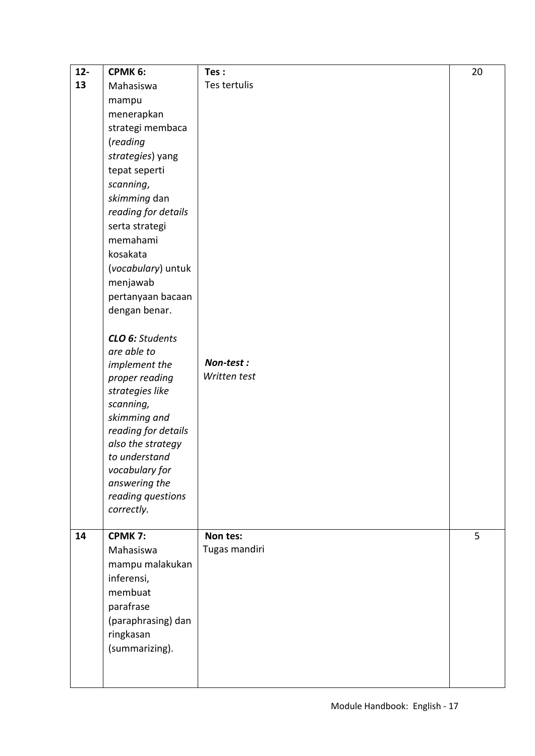| $12-$ | CPMK 6:                             | Tes:          | 20 |
|-------|-------------------------------------|---------------|----|
| 13    | Mahasiswa                           | Tes tertulis  |    |
|       | mampu                               |               |    |
|       | menerapkan                          |               |    |
|       | strategi membaca                    |               |    |
|       | (reading                            |               |    |
|       | strategies) yang                    |               |    |
|       | tepat seperti                       |               |    |
|       | scanning,                           |               |    |
|       | skimming dan                        |               |    |
|       | reading for details                 |               |    |
|       | serta strategi                      |               |    |
|       | memahami                            |               |    |
|       | kosakata                            |               |    |
|       | (vocabulary) untuk                  |               |    |
|       | menjawab                            |               |    |
|       | pertanyaan bacaan                   |               |    |
|       | dengan benar.                       |               |    |
|       |                                     |               |    |
|       | CLO 6: Students                     |               |    |
|       | are able to                         |               |    |
|       | implement the                       | Non-test:     |    |
|       | proper reading                      | Written test  |    |
|       | strategies like                     |               |    |
|       | scanning,                           |               |    |
|       | skimming and<br>reading for details |               |    |
|       | also the strategy                   |               |    |
|       | to understand                       |               |    |
|       | vocabulary for                      |               |    |
|       | answering the                       |               |    |
|       | reading questions                   |               |    |
|       | correctly.                          |               |    |
|       |                                     |               |    |
| 14    | <b>CPMK7:</b>                       | Non tes:      | 5  |
|       | Mahasiswa                           | Tugas mandiri |    |
|       | mampu malakukan                     |               |    |
|       | inferensi,                          |               |    |
|       | membuat                             |               |    |
|       | parafrase                           |               |    |
|       | (paraphrasing) dan                  |               |    |
|       | ringkasan                           |               |    |
|       | (summarizing).                      |               |    |
|       |                                     |               |    |
|       |                                     |               |    |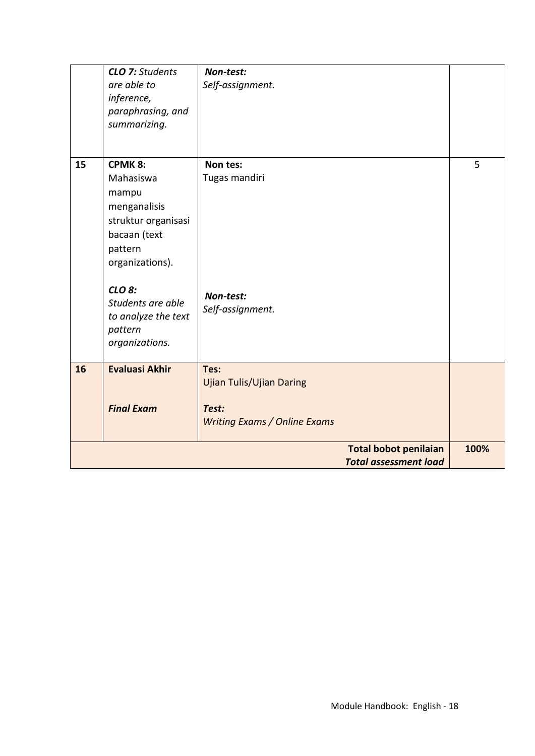|    | <b>CLO 7: Students</b><br>are able to<br>inference,<br>paraphrasing, and<br>summarizing.                                  | Non-test:<br>Self-assignment.                                                           |      |
|----|---------------------------------------------------------------------------------------------------------------------------|-----------------------------------------------------------------------------------------|------|
| 15 | <b>CPMK 8:</b><br>Mahasiswa<br>mampu<br>menganalisis<br>struktur organisasi<br>bacaan (text<br>pattern<br>organizations). | Non tes:<br>Tugas mandiri                                                               | 5    |
|    | CLO 8:<br>Students are able<br>to analyze the text<br>pattern<br>organizations.                                           | Non-test:<br>Self-assignment.                                                           |      |
| 16 | <b>Evaluasi Akhir</b><br><b>Final Exam</b>                                                                                | Tes:<br><b>Ujian Tulis/Ujian Daring</b><br>Test:<br><b>Writing Exams / Online Exams</b> |      |
|    |                                                                                                                           | <b>Total bobot penilaian</b><br><b>Total assessment load</b>                            | 100% |